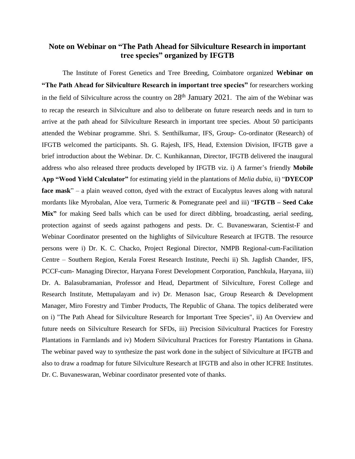## **Note on Webinar on "The Path Ahead for Silviculture Research in important tree species" organized by IFGTB**

The Institute of Forest Genetics and Tree Breeding, Coimbatore organized **Webinar on "The Path Ahead for Silviculture Research in important tree species"** for researchers working in the field of Silviculture across the country on  $28<sup>th</sup>$  January 2021. The aim of the Webinar was to recap the research in Silviculture and also to deliberate on future research needs and in turn to arrive at the path ahead for Silviculture Research in important tree species. About 50 participants attended the Webinar programme. Shri. S. Senthilkumar, IFS, Group- Co-ordinator (Research) of IFGTB welcomed the participants. Sh. G. Rajesh, IFS, Head, Extension Division, IFGTB gave a brief introduction about the Webinar. Dr. C. Kunhikannan, Director, IFGTB delivered the inaugural address who also released three products developed by IFGTB viz. i) A farmer's friendly **Mobile App "Wood Yield Calculator"** for estimating yield in the plantations of *Melia dubia,* ii) "**DYECOP face mask**" – a plain weaved cotton, dyed with the extract of Eucalyptus leaves along with natural mordants like Myrobalan, Aloe vera, Turmeric & Pomegranate peel and iii) "**IFGTB – Seed Cake Mix"** for making Seed balls which can be used for direct dibbling, broadcasting, aerial seeding, protection against of seeds against pathogens and pests. Dr. C. Buvaneswaran, Scientist-F and Webinar Coordinator presented on the highlights of Silviculture Research at IFGTB. The resource persons were i) Dr. K. C. Chacko, Project Regional Director, NMPB Regional-cum-Facilitation Centre – Southern Region, Kerala Forest Research Institute, Peechi ii) Sh. Jagdish Chander, IFS, PCCF-cum- Managing Director, Haryana Forest Development Corporation, Panchkula, Haryana, iii) Dr. A. Balasubramanian, Professor and Head, Department of Silviculture, Forest College and Research Institute, Mettupalayam and iv) Dr. Menason Isac, Group Research & Development Manager, Miro Forestry and Timber Products, The Republic of Ghana. The topics deliberated were on i) "The Path Ahead for Silviculture Research for Important Tree Species", ii) An Overview and future needs on Silviculture Research for SFDs, iii) Precision Silvicultural Practices for Forestry Plantations in Farmlands and iv) Modern Silvicultural Practices for Forestry Plantations in Ghana. The webinar paved way to synthesize the past work done in the subject of Silviculture at IFGTB and also to draw a roadmap for future Silviculture Research at IFGTB and also in other ICFRE Institutes. Dr. C. Buvaneswaran, Webinar coordinator presented vote of thanks.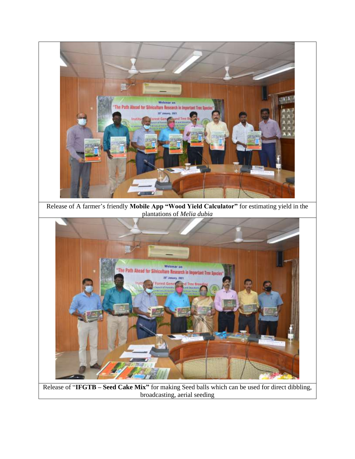

Release of "**IFGTB – Seed Cake Mix"** for making Seed balls which can be used for direct dibbling, broadcasting, aerial seeding